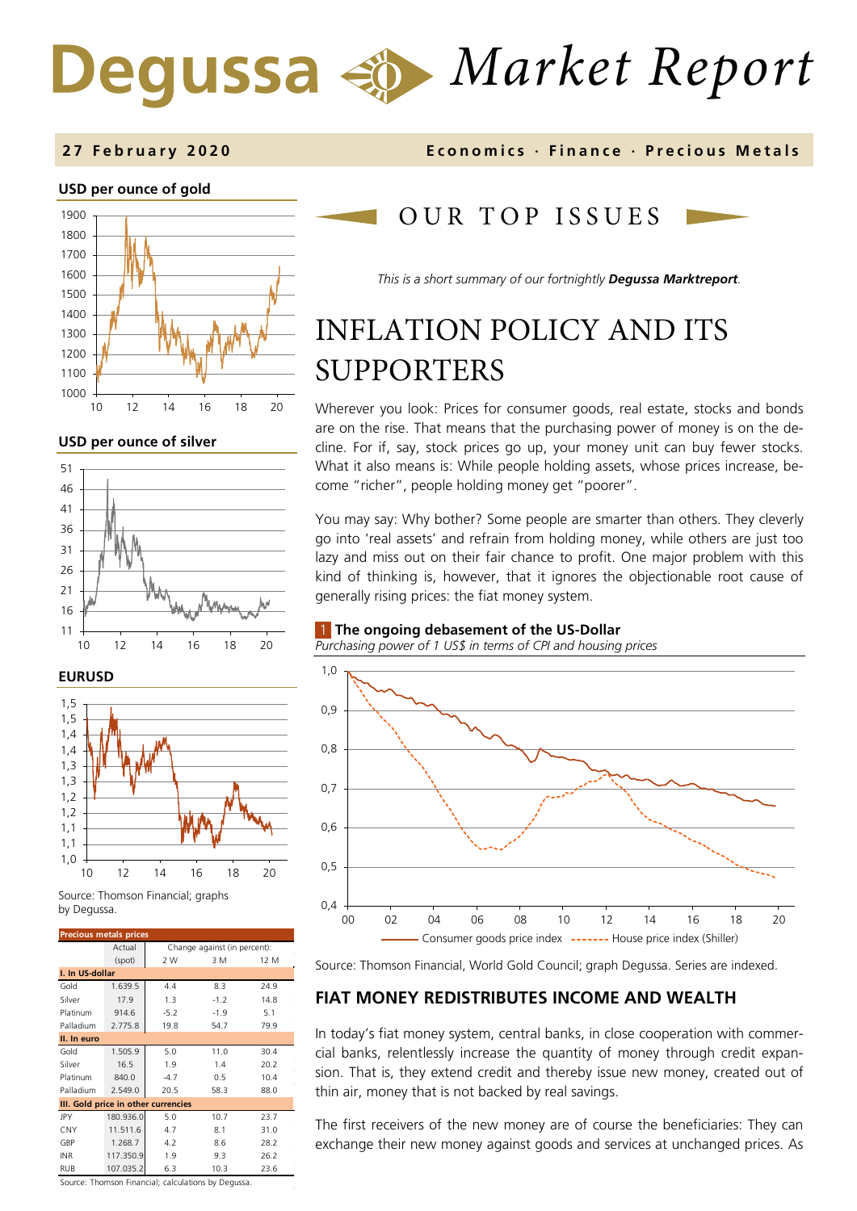# *Market Report* Degussa

#### **USD per ounce of gold**



**USD per ounce of silver** 



#### **EURUSD**



Source: Thomson Financial; graphs by Degussa.

| <b>Precious metals prices</b>       |           |                              |        |      |  |  |  |
|-------------------------------------|-----------|------------------------------|--------|------|--|--|--|
|                                     | Actual    | Change against (in percent): |        |      |  |  |  |
|                                     | (spot)    | 2 W                          | 3 M    | 12 M |  |  |  |
| I. In US-dollar                     |           |                              |        |      |  |  |  |
| Gold                                | 1.639.5   | 4.4                          | 8.3    | 24.9 |  |  |  |
| Silver                              | 17.9      | 1.3                          | $-1.2$ | 14.8 |  |  |  |
| Platinum                            | 914.6     | $-5.2$                       | $-1.9$ | 5.1  |  |  |  |
| Palladium                           | 2.775.8   | 19.8                         | 54.7   | 79.9 |  |  |  |
| II. In euro                         |           |                              |        |      |  |  |  |
| Gold                                | 1.505.9   | 5.0                          | 11.0   | 30.4 |  |  |  |
| Silver                              | 16.5      | 1.9                          | 1.4    | 20.2 |  |  |  |
| Platinum                            | 840.0     | $-4.7$                       | 0.5    | 10.4 |  |  |  |
| Palladium                           | 2.549.0   | 20.5                         | 58.3   | 88.0 |  |  |  |
| III. Gold price in other currencies |           |                              |        |      |  |  |  |
| JPY                                 | 180.936.0 | 5.0                          | 10.7   | 23.7 |  |  |  |
| CNY                                 | 11.511.6  | 4.7                          | 8.1    | 31.0 |  |  |  |
| GBP                                 | 1.268.7   | 4.2                          | 8.6    | 28.2 |  |  |  |
| INR                                 | 117.350.9 | 1.9                          | 9.3    | 26.2 |  |  |  |
| <b>RUB</b>                          | 107.035.2 | 6.3                          | 10.3   | 23.6 |  |  |  |

**2 7 February 2020 Economics · Finance · Precious M etals**

## OUR TOP ISSUE S

*This is a short summary of our fortnightly Degussa Marktreport.*

## INFLATION POLICY AND ITS SUPPORTERS

Wherever you look: Prices for consumer goods, real estate, stocks and bonds are on the rise. That means that the purchasing power of money is on the decline. For if, say, stock prices go up, your money unit can buy fewer stocks. What it also means is: While people holding assets, whose prices increase, become "richer", people holding money get "poorer".

You may say: Why bother? Some people are smarter than others. They cleverly go into 'real assets' and refrain from holding money, while others are just too lazy and miss out on their fair chance to profit. One major problem with this kind of thinking is, however, that it ignores the objectionable root cause of generally rising prices: the fiat money system.

#### 1 **The ongoing debasement of the US-Dollar**

*Purchasing power of 1 US\$ in terms of CPI and housing prices* 



Source: Thomson Financial, World Gold Council; graph Degussa. Series are indexed.

### **FIAT MONEY REDISTRIBUTES INCOME AND WEALTH**

In today's fiat money system, central banks, in close cooperation with commercial banks, relentlessly increase the quantity of money through credit expansion. That is, they extend credit and thereby issue new money, created out of thin air, money that is not backed by real savings.

The first receivers of the new money are of course the beneficiaries: They can exchange their new money against goods and services at unchanged prices. As

Source: Thomson Financial; calculations by Degussa.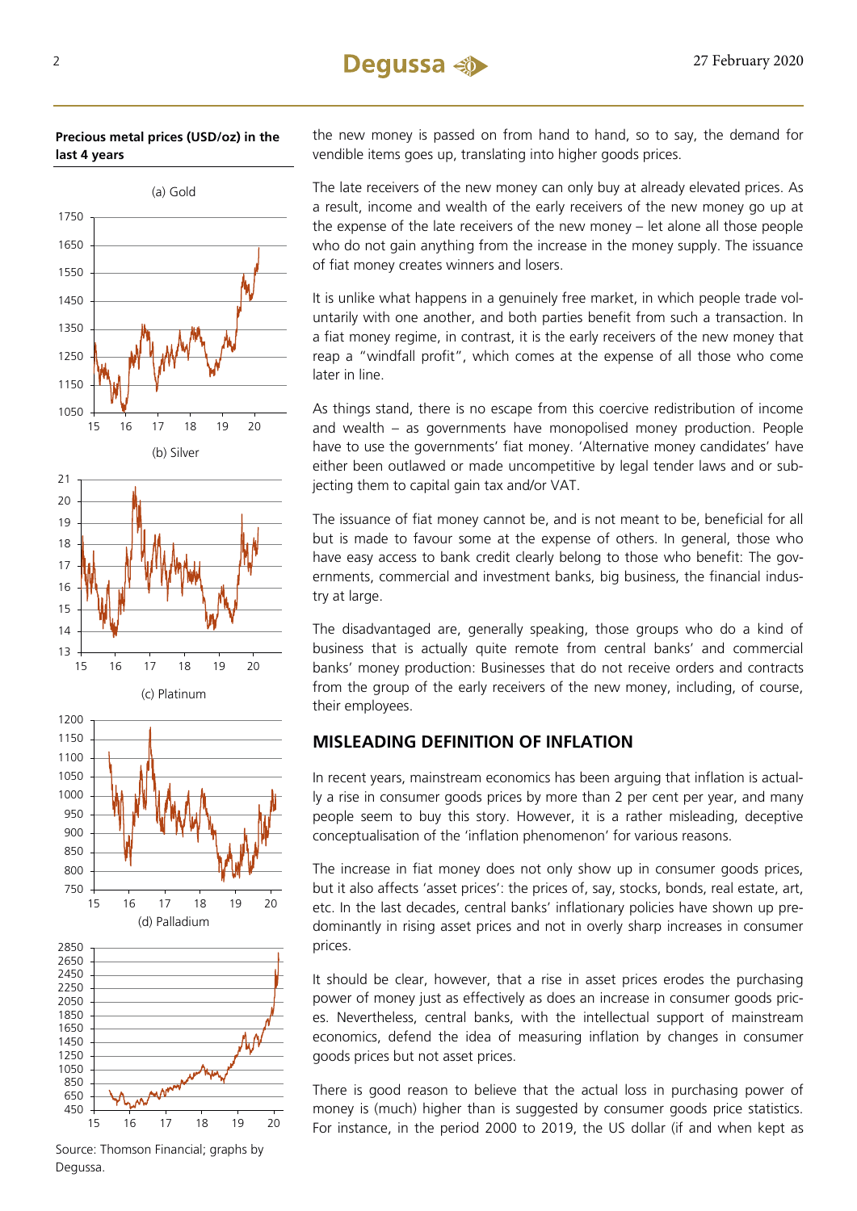#### **Precious metal prices (USD/oz) in the last 4 years**



the new money is passed on from hand to hand, so to say, the demand for vendible items goes up, translating into higher goods prices.

The late receivers of the new money can only buy at already elevated prices. As a result, income and wealth of the early receivers of the new money go up at the expense of the late receivers of the new money – let alone all those people who do not gain anything from the increase in the money supply. The issuance of fiat money creates winners and losers.

It is unlike what happens in a genuinely free market, in which people trade voluntarily with one another, and both parties benefit from such a transaction. In a fiat money regime, in contrast, it is the early receivers of the new money that reap a "windfall profit", which comes at the expense of all those who come later in line.

As things stand, there is no escape from this coercive redistribution of income and wealth – as governments have monopolised money production. People have to use the governments' fiat money. 'Alternative money candidates' have either been outlawed or made uncompetitive by legal tender laws and or subjecting them to capital gain tax and/or VAT.

The issuance of fiat money cannot be, and is not meant to be, beneficial for all but is made to favour some at the expense of others. In general, those who have easy access to bank credit clearly belong to those who benefit: The governments, commercial and investment banks, big business, the financial industry at large.

The disadvantaged are, generally speaking, those groups who do a kind of business that is actually quite remote from central banks' and commercial banks' money production: Businesses that do not receive orders and contracts from the group of the early receivers of the new money, including, of course, their employees.

### **MISLEADING DEFINITION OF INFLATION**

In recent years, mainstream economics has been arguing that inflation is actually a rise in consumer goods prices by more than 2 per cent per year, and many people seem to buy this story. However, it is a rather misleading, deceptive conceptualisation of the 'inflation phenomenon' for various reasons.

The increase in fiat money does not only show up in consumer goods prices, but it also affects 'asset prices': the prices of, say, stocks, bonds, real estate, art, etc. In the last decades, central banks' inflationary policies have shown up predominantly in rising asset prices and not in overly sharp increases in consumer prices.

It should be clear, however, that a rise in asset prices erodes the purchasing power of money just as effectively as does an increase in consumer goods prices. Nevertheless, central banks, with the intellectual support of mainstream economics, defend the idea of measuring inflation by changes in consumer goods prices but not asset prices.

There is good reason to believe that the actual loss in purchasing power of money is (much) higher than is suggested by consumer goods price statistics. For instance, in the period 2000 to 2019, the US dollar (if and when kept as

Source: Thomson Financial; graphs by Degussa.

15 16 17 18 19 20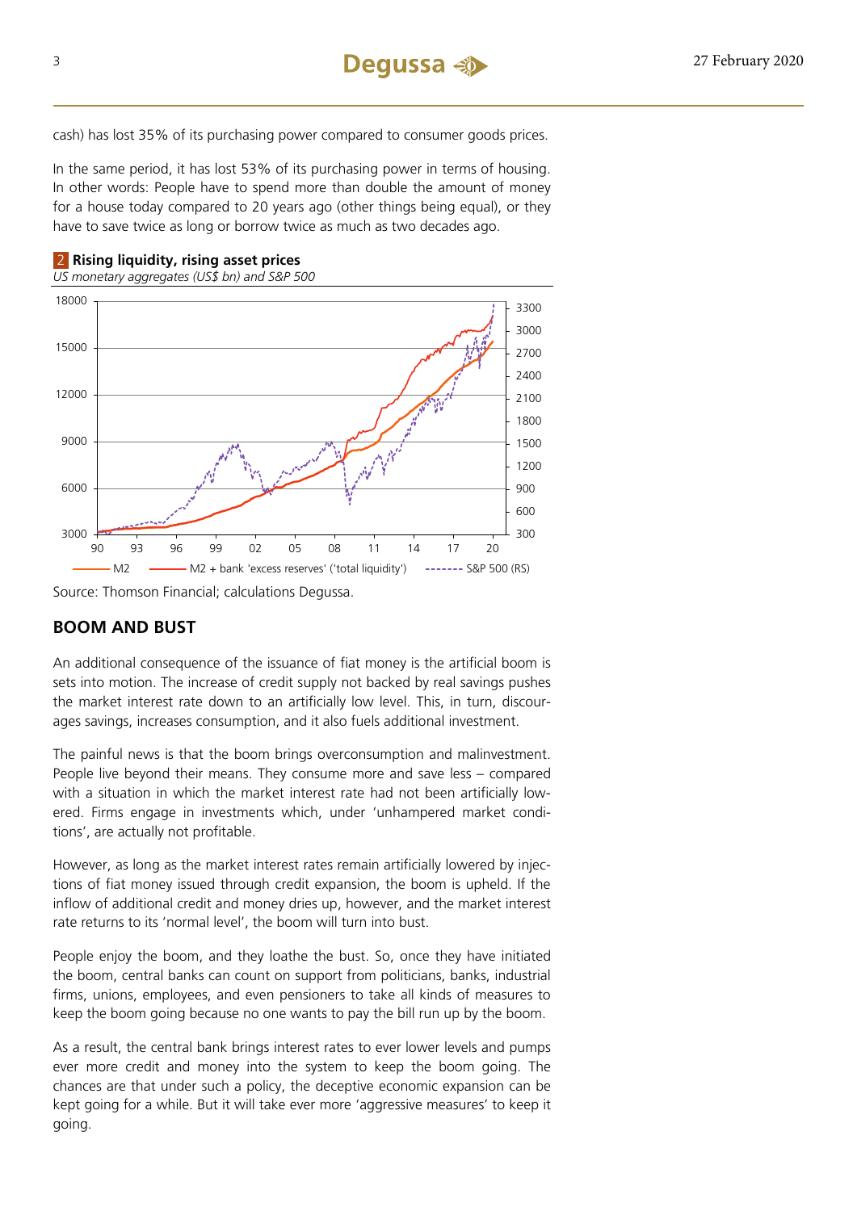cash) has lost 35% of its purchasing power compared to consumer goods prices.

In the same period, it has lost 53% of its purchasing power in terms of housing. In other words: People have to spend more than double the amount of money for a house today compared to 20 years ago (other things being equal), or they have to save twice as long or borrow twice as much as two decades ago.



*US monetary aggregates (US\$ bn) and S&P 500* 



Source: Thomson Financial; calculations Degussa.

### **BOOM AND BUST**

An additional consequence of the issuance of fiat money is the artificial boom is sets into motion. The increase of credit supply not backed by real savings pushes the market interest rate down to an artificially low level. This, in turn, discourages savings, increases consumption, and it also fuels additional investment.

The painful news is that the boom brings overconsumption and malinvestment. People live beyond their means. They consume more and save less – compared with a situation in which the market interest rate had not been artificially lowered. Firms engage in investments which, under 'unhampered market conditions', are actually not profitable.

However, as long as the market interest rates remain artificially lowered by injections of fiat money issued through credit expansion, the boom is upheld. If the inflow of additional credit and money dries up, however, and the market interest rate returns to its 'normal level', the boom will turn into bust.

People enjoy the boom, and they loathe the bust. So, once they have initiated the boom, central banks can count on support from politicians, banks, industrial firms, unions, employees, and even pensioners to take all kinds of measures to keep the boom going because no one wants to pay the bill run up by the boom.

As a result, the central bank brings interest rates to ever lower levels and pumps ever more credit and money into the system to keep the boom going. The chances are that under such a policy, the deceptive economic expansion can be kept going for a while. But it will take ever more 'aggressive measures' to keep it going.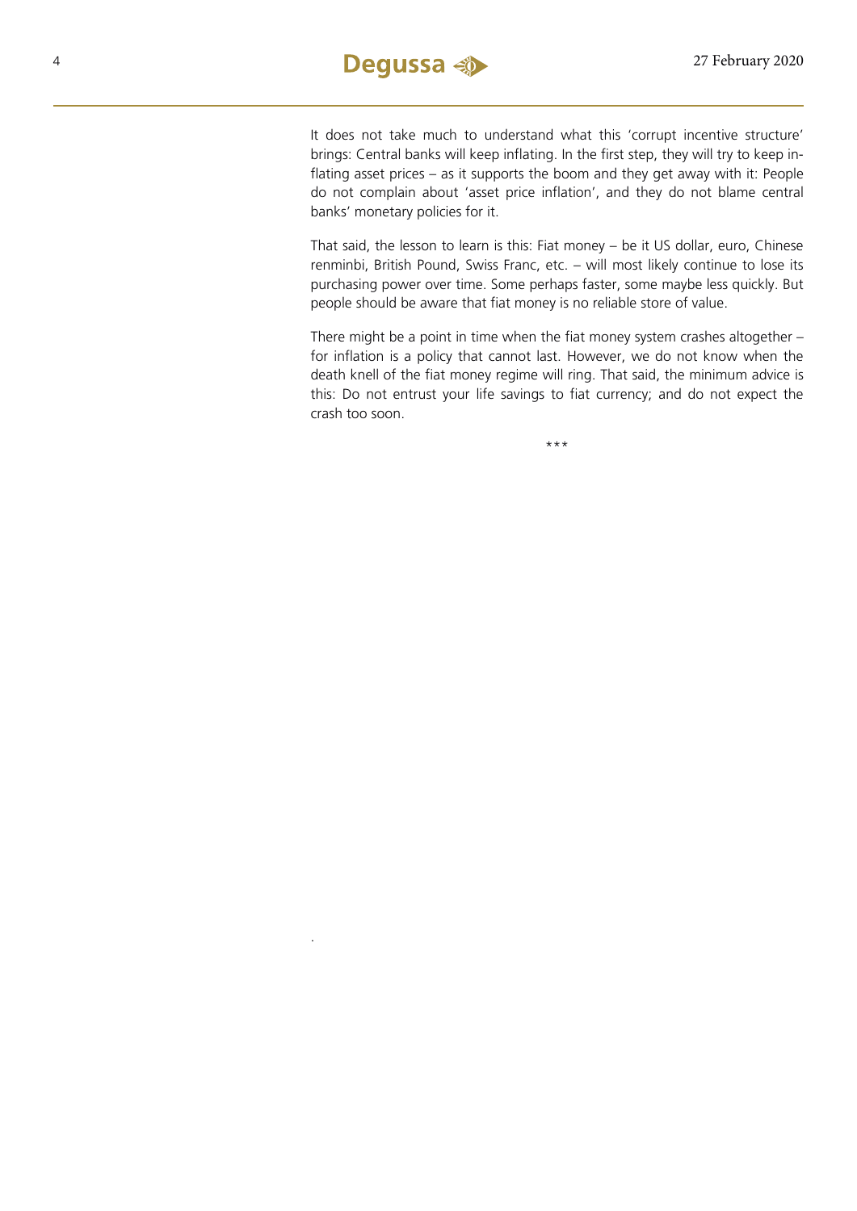

.

It does not take much to understand what this 'corrupt incentive structure' brings: Central banks will keep inflating. In the first step, they will try to keep inflating asset prices – as it supports the boom and they get away with it: People do not complain about 'asset price inflation', and they do not blame central banks' monetary policies for it.

That said, the lesson to learn is this: Fiat money – be it US dollar, euro, Chinese renminbi, British Pound, Swiss Franc, etc. – will most likely continue to lose its purchasing power over time. Some perhaps faster, some maybe less quickly. But people should be aware that fiat money is no reliable store of value.

There might be a point in time when the fiat money system crashes altogether – for inflation is a policy that cannot last. However, we do not know when the death knell of the fiat money regime will ring. That said, the minimum advice is this: Do not entrust your life savings to fiat currency; and do not expect the crash too soon.

\*\*\*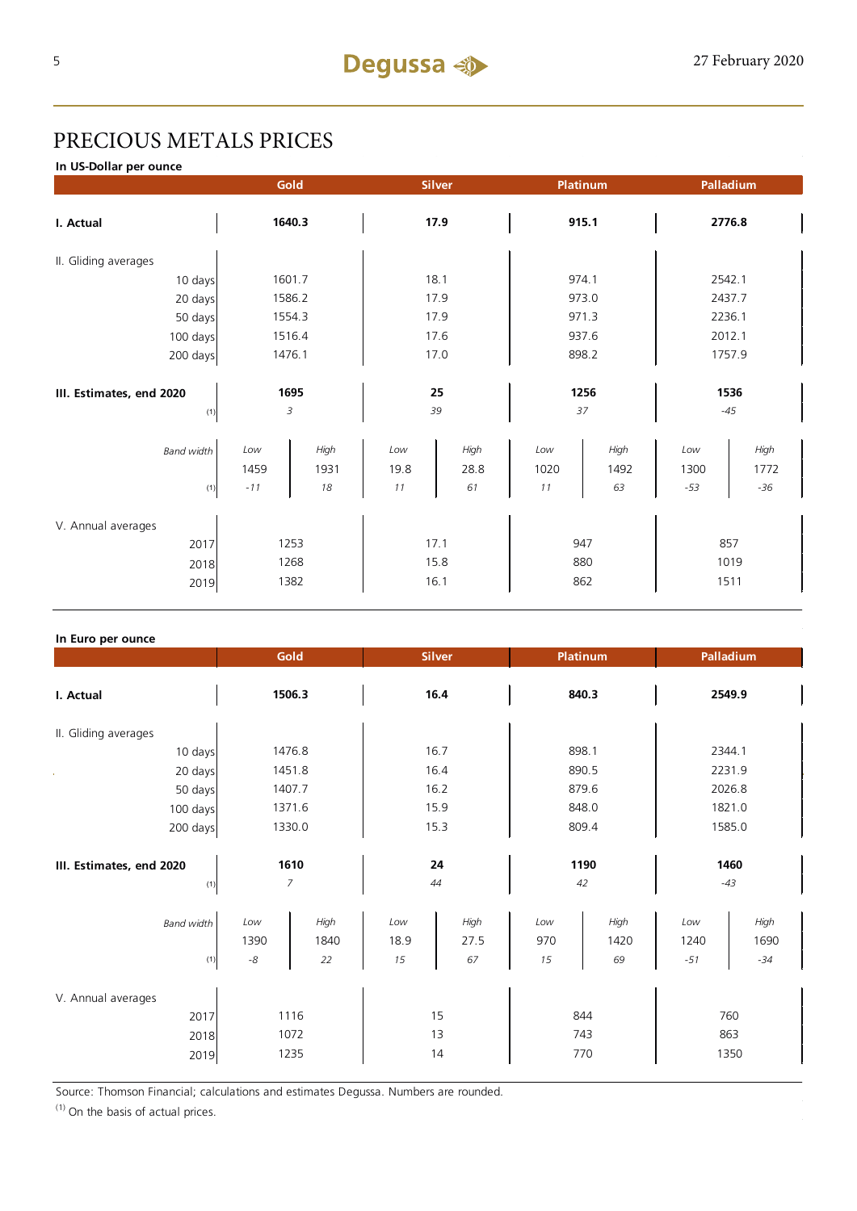## PRECIOUS METALS PRICES

**In US-Dollar per ounce**

|                          | Gold<br>Platinum<br><b>Silver</b> |                    |             | Palladium    |                   |              |             |              |
|--------------------------|-----------------------------------|--------------------|-------------|--------------|-------------------|--------------|-------------|--------------|
| I. Actual                |                                   | 1640.3             |             | 17.9         |                   | 915.1        |             | 2776.8       |
| II. Gliding averages     |                                   |                    |             |              |                   |              |             |              |
| 10 days                  | 1601.7                            |                    | 18.1        |              | 974.1             |              | 2542.1      |              |
| 20 days                  | 1586.2                            |                    | 17.9        |              | 973.0             |              | 2437.7      |              |
| 50 days                  | 1554.3                            |                    | 17.9        |              | 971.3             |              | 2236.1      |              |
| 100 days                 | 1516.4                            |                    | 17.6        |              | 937.6             |              | 2012.1      |              |
| 200 days                 |                                   | 1476.1             |             | 17.0         | 898.2             |              | 1757.9      |              |
|                          |                                   |                    |             |              |                   |              |             |              |
| III. Estimates, end 2020 | 1695                              |                    | 25          |              | 1256              |              | 1536        |              |
| (1)                      |                                   | 3                  |             | 39           | 37                |              |             | $-45$        |
| <b>Band width</b>        | Low<br>1459                       | High<br>1931<br>18 | Low<br>19.8 | High<br>28.8 | Low<br>1020<br>11 | High<br>1492 | Low<br>1300 | High<br>1772 |
| (1)                      | $-11$                             |                    | $11$        | 61           |                   | 63           | $-53$       | $-36$        |
| V. Annual averages       |                                   |                    |             |              |                   |              |             |              |
| 2017                     | 1253                              |                    | 17.1        |              | 947               |              | 857         |              |
| 2018                     | 1268                              |                    | 15.8        |              | 880               |              | 1019        |              |
| 2019                     |                                   | 1382               | 16.1        |              |                   | 862          | 1511        |              |

#### **In Euro per ounce**

| –  - r                                     |                            | Gold               | <b>Silver</b>     |                    | <b>Platinum</b>   |                    | Palladium            |                       |  |
|--------------------------------------------|----------------------------|--------------------|-------------------|--------------------|-------------------|--------------------|----------------------|-----------------------|--|
| I. Actual                                  |                            | 1506.3             |                   | 16.4               |                   | 840.3              |                      | 2549.9                |  |
| II. Gliding averages                       |                            |                    |                   |                    |                   |                    |                      |                       |  |
| 10 days                                    | 1476.8                     |                    | 16.7              |                    | 898.1             |                    | 2344.1               |                       |  |
| 20 days                                    | 1451.8                     |                    | 16.4              |                    | 890.5             |                    | 2231.9               |                       |  |
| 50 days                                    | 1407.7                     |                    | 16.2              |                    | 879.6             |                    | 2026.8               |                       |  |
| 100 days                                   |                            | 1371.6             |                   | 15.9               |                   | 848.0              |                      | 1821.0                |  |
| 200 days                                   | 1330.0                     |                    | 15.3              |                    | 809.4             |                    | 1585.0               |                       |  |
| III. Estimates, end 2020<br>(1)            | 1610<br>7                  |                    | 24<br>44          |                    | 1190<br>42        |                    | 1460<br>$-43$        |                       |  |
| <b>Band width</b><br>(1)                   | Low<br>1390<br>$\text{-}8$ | High<br>1840<br>22 | Low<br>18.9<br>15 | High<br>27.5<br>67 | Low<br>970<br>15  | High<br>1420<br>69 | Low<br>1240<br>$-51$ | High<br>1690<br>$-34$ |  |
| V. Annual averages<br>2017<br>2018<br>2019 | 1116<br>1072<br>1235       |                    | 15<br>13<br>14    |                    | 844<br>743<br>770 |                    | 760<br>863<br>1350   |                       |  |

Source: Thomson Financial; calculations and estimates Degussa. Numbers are rounded.

(1) On the basis of actual prices.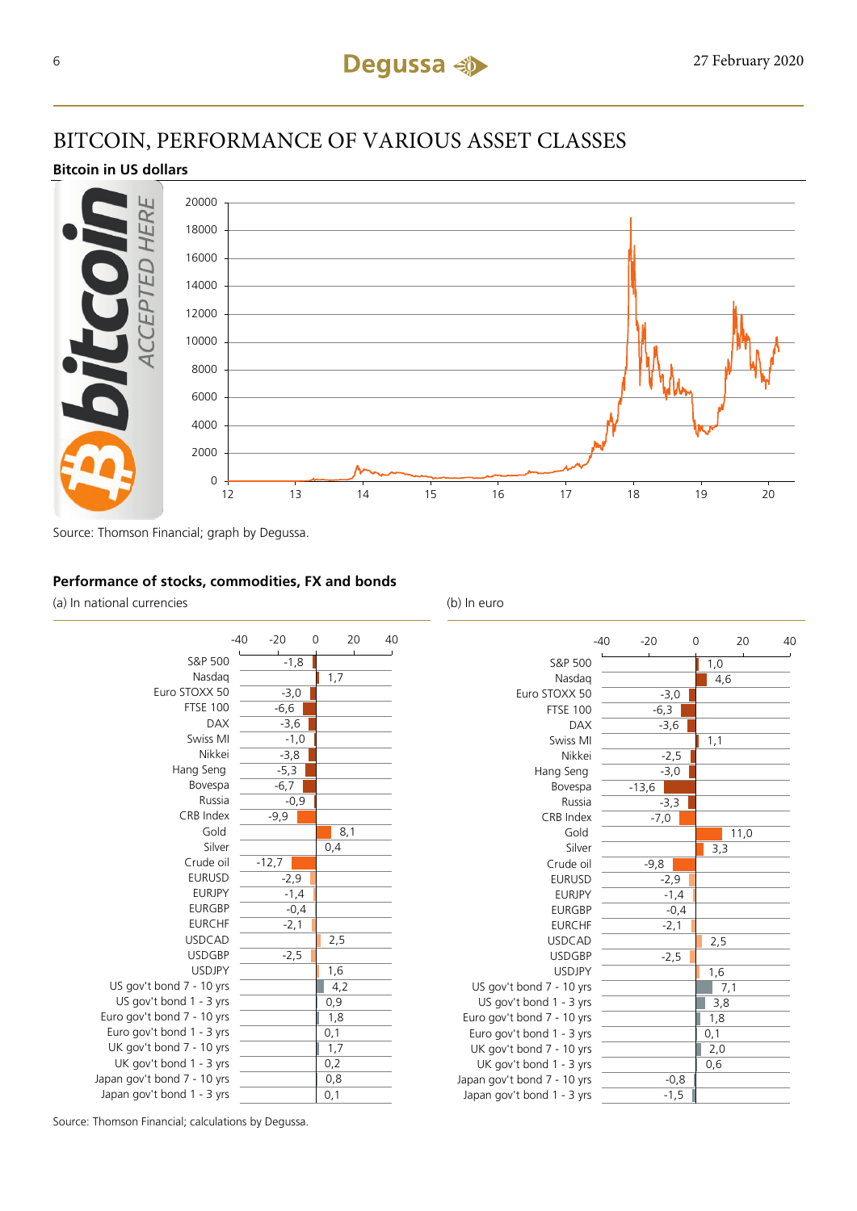## BITCOIN, PERFORMANCE OF VARIOUS ASSET CLASSES

#### **Bitcoin in US dollars**



Source: Thomson Financial; graph by Degussa.

#### **Performance of stocks, commodities, FX and bonds**

(a) In national currencies (b) In euro





Source: Thomson Financial; calculations by Degussa.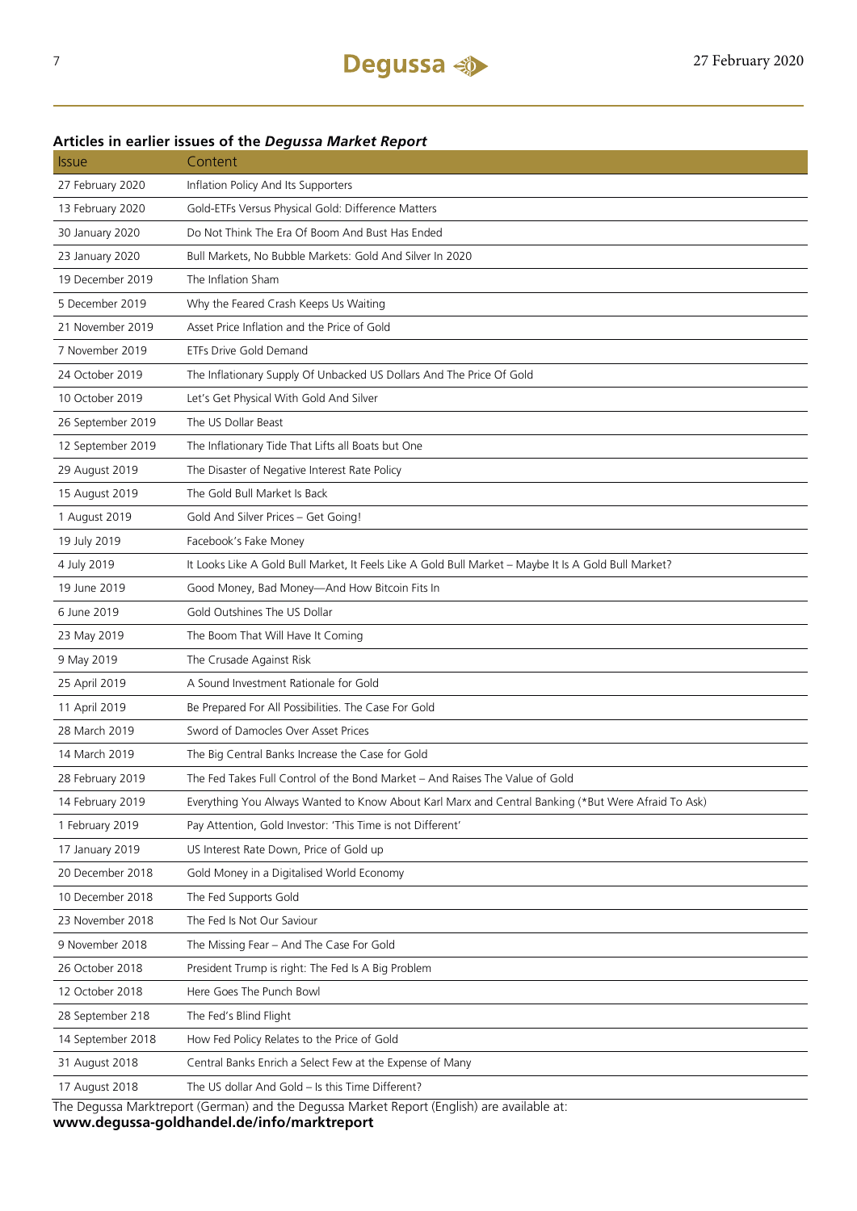### Issue Content 27 February 2020 Inflation Policy And Its Supporters 13 February 2020 Gold-ETFs Versus Physical Gold: Difference Matters 30 January 2020 Do Not Think The Era Of Boom And Bust Has Ended 23 January 2020 Bull Markets, No Bubble Markets: Gold And Silver In 2020 19 December 2019 The Inflation Sham 5 December 2019 Why the Feared Crash Keeps Us Waiting 21 November 2019 Asset Price Inflation and the Price of Gold 7 November 2019 ETFs Drive Gold Demand 24 October 2019 The Inflationary Supply Of Unbacked US Dollars And The Price Of Gold 10 October 2019 Let's Get Physical With Gold And Silver 26 September 2019 The US Dollar Beast 12 September 2019 The Inflationary Tide That Lifts all Boats but One 29 August 2019 The Disaster of Negative Interest Rate Policy 15 August 2019 The Gold Bull Market Is Back 1 August 2019 Gold And Silver Prices – Get Going! 19 July 2019 Facebook's Fake Money 4 July 2019 It Looks Like A Gold Bull Market, It Feels Like A Gold Bull Market – Maybe It Is A Gold Bull Market? 19 June 2019 Good Money, Bad Money—And How Bitcoin Fits In 6 June 2019 Gold Outshines The US Dollar 23 May 2019 The Boom That Will Have It Coming 9 May 2019 The Crusade Against Risk 25 April 2019 A Sound Investment Rationale for Gold 11 April 2019 Be Prepared For All Possibilities. The Case For Gold 28 March 2019 Sword of Damocles Over Asset Prices 14 March 2019 The Big Central Banks Increase the Case for Gold 28 February 2019 The Fed Takes Full Control of the Bond Market – And Raises The Value of Gold 14 February 2019 Everything You Always Wanted to Know About Karl Marx and Central Banking (\*But Were Afraid To Ask) 1 February 2019 Pay Attention, Gold Investor: 'This Time is not Different' 17 January 2019 US Interest Rate Down, Price of Gold up 20 December 2018 Gold Money in a Digitalised World Economy 10 December 2018 The Fed Supports Gold 23 November 2018 The Fed Is Not Our Saviour 9 November 2018 The Missing Fear – And The Case For Gold 26 October 2018 President Trump is right: The Fed Is A Big Problem 12 October 2018 Here Goes The Punch Bowl 28 September 218 The Fed's Blind Flight 14 September 2018 How Fed Policy Relates to the Price of Gold 31 August 2018 Central Banks Enrich a Select Few at the Expense of Many 17 August 2018 The US dollar And Gold – Is this Time Different?

#### **Articles in earlier issues of the** *Degussa Market Report*

The Degussa Marktreport (German) and the Degussa Market Report (English) are available at: **www.degussa-goldhandel.de/info/marktreport**